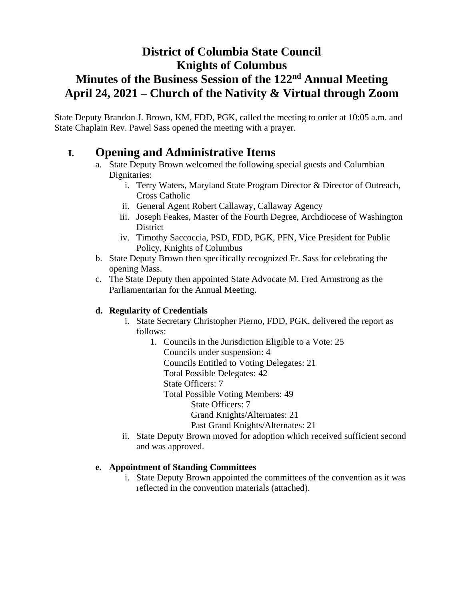# **District of Columbia State Council Knights of Columbus Minutes of the Business Session of the 122nd Annual Meeting April 24, 2021 – Church of the Nativity & Virtual through Zoom**

State Deputy Brandon J. Brown, KM, FDD, PGK, called the meeting to order at 10:05 a.m. and State Chaplain Rev. Pawel Sass opened the meeting with a prayer.

## **I. Opening and Administrative Items**

- a. State Deputy Brown welcomed the following special guests and Columbian Dignitaries:
	- i. Terry Waters, Maryland State Program Director & Director of Outreach, Cross Catholic
	- ii. General Agent Robert Callaway, Callaway Agency
	- iii. Joseph Feakes, Master of the Fourth Degree, Archdiocese of Washington District
	- iv. Timothy Saccoccia, PSD, FDD, PGK, PFN, Vice President for Public Policy, Knights of Columbus
- b. State Deputy Brown then specifically recognized Fr. Sass for celebrating the opening Mass.
- c. The State Deputy then appointed State Advocate M. Fred Armstrong as the Parliamentarian for the Annual Meeting.

## **d. Regularity of Credentials**

- i. State Secretary Christopher Pierno, FDD, PGK, delivered the report as follows:
	- 1. Councils in the Jurisdiction Eligible to a Vote: 25 Councils under suspension: 4 Councils Entitled to Voting Delegates: 21
		- Total Possible Delegates: 42
		- State Officers: 7
		- Total Possible Voting Members: 49
			- State Officers: 7
			- Grand Knights/Alternates: 21
			- Past Grand Knights/Alternates: 21
- ii. State Deputy Brown moved for adoption which received sufficient second and was approved.

#### **e. Appointment of Standing Committees**

i. State Deputy Brown appointed the committees of the convention as it was reflected in the convention materials (attached).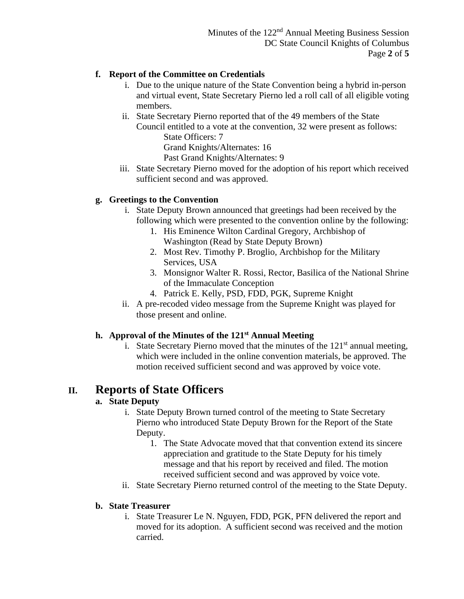### **f. Report of the Committee on Credentials**

- i. Due to the unique nature of the State Convention being a hybrid in-person and virtual event, State Secretary Pierno led a roll call of all eligible voting members.
- ii. State Secretary Pierno reported that of the 49 members of the State Council entitled to a vote at the convention, 32 were present as follows: State Officers: 7 Grand Knights/Alternates: 16

Past Grand Knights/Alternates: 9

iii. State Secretary Pierno moved for the adoption of his report which received sufficient second and was approved.

### **g. Greetings to the Convention**

- i. State Deputy Brown announced that greetings had been received by the following which were presented to the convention online by the following:
	- 1. His Eminence Wilton Cardinal Gregory, Archbishop of Washington (Read by State Deputy Brown)
	- 2. Most Rev. Timothy P. Broglio, Archbishop for the Military Services, USA
	- 3. Monsignor Walter R. Rossi, Rector, Basilica of the National Shrine of the Immaculate Conception
	- 4. Patrick E. Kelly, PSD, FDD, PGK, Supreme Knight
- ii. A pre-recoded video message from the Supreme Knight was played for those present and online.

#### **h. Approval of the Minutes of the 121st Annual Meeting**

i. State Secretary Pierno moved that the minutes of the  $121<sup>st</sup>$  annual meeting, which were included in the online convention materials, be approved. The motion received sufficient second and was approved by voice vote.

## **II. Reports of State Officers**

## **a. State Deputy**

- i. State Deputy Brown turned control of the meeting to State Secretary Pierno who introduced State Deputy Brown for the Report of the State Deputy.
	- 1. The State Advocate moved that that convention extend its sincere appreciation and gratitude to the State Deputy for his timely message and that his report by received and filed. The motion received sufficient second and was approved by voice vote.
- ii. State Secretary Pierno returned control of the meeting to the State Deputy.

#### **b. State Treasurer**

i. State Treasurer Le N. Nguyen, FDD, PGK, PFN delivered the report and moved for its adoption. A sufficient second was received and the motion carried.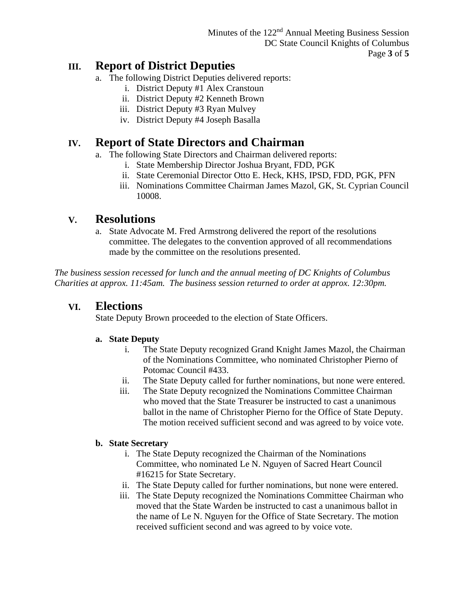## **III. Report of District Deputies**

- a. The following District Deputies delivered reports:
	- i. District Deputy #1 Alex Cranstoun
	- ii. District Deputy #2 Kenneth Brown
	- iii. District Deputy #3 Ryan Mulvey
	- iv. District Deputy #4 Joseph Basalla

## **IV. Report of State Directors and Chairman**

- a. The following State Directors and Chairman delivered reports:
	- i. State Membership Director Joshua Bryant, FDD, PGK
	- ii. State Ceremonial Director Otto E. Heck, KHS, IPSD, FDD, PGK, PFN
	- iii. Nominations Committee Chairman James Mazol, GK, St. Cyprian Council 10008.

## **V. Resolutions**

a. State Advocate M. Fred Armstrong delivered the report of the resolutions committee. The delegates to the convention approved of all recommendations made by the committee on the resolutions presented.

*The business session recessed for lunch and the annual meeting of DC Knights of Columbus Charities at approx. 11:45am. The business session returned to order at approx. 12:30pm.*

## **VI. Elections**

State Deputy Brown proceeded to the election of State Officers.

## **a. State Deputy**

- i. The State Deputy recognized Grand Knight James Mazol, the Chairman of the Nominations Committee, who nominated Christopher Pierno of Potomac Council #433.
- ii. The State Deputy called for further nominations, but none were entered.
- iii. The State Deputy recognized the Nominations Committee Chairman who moved that the State Treasurer be instructed to cast a unanimous ballot in the name of Christopher Pierno for the Office of State Deputy. The motion received sufficient second and was agreed to by voice vote.

#### **b. State Secretary**

- i. The State Deputy recognized the Chairman of the Nominations Committee, who nominated Le N. Nguyen of Sacred Heart Council #16215 for State Secretary.
- ii. The State Deputy called for further nominations, but none were entered.
- iii. The State Deputy recognized the Nominations Committee Chairman who moved that the State Warden be instructed to cast a unanimous ballot in the name of Le N. Nguyen for the Office of State Secretary. The motion received sufficient second and was agreed to by voice vote.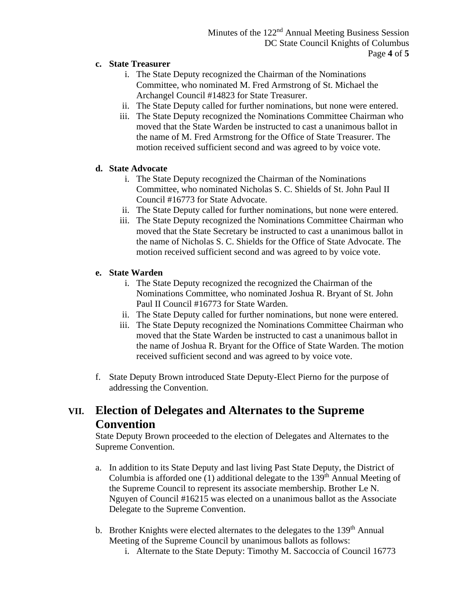#### **c. State Treasurer**

- i. The State Deputy recognized the Chairman of the Nominations Committee, who nominated M. Fred Armstrong of St. Michael the Archangel Council #14823 for State Treasurer.
- ii. The State Deputy called for further nominations, but none were entered.
- iii. The State Deputy recognized the Nominations Committee Chairman who moved that the State Warden be instructed to cast a unanimous ballot in the name of M. Fred Armstrong for the Office of State Treasurer. The motion received sufficient second and was agreed to by voice vote.

### **d. State Advocate**

- i. The State Deputy recognized the Chairman of the Nominations Committee, who nominated Nicholas S. C. Shields of St. John Paul II Council #16773 for State Advocate.
- ii. The State Deputy called for further nominations, but none were entered.
- iii. The State Deputy recognized the Nominations Committee Chairman who moved that the State Secretary be instructed to cast a unanimous ballot in the name of Nicholas S. C. Shields for the Office of State Advocate. The motion received sufficient second and was agreed to by voice vote.

### **e. State Warden**

- i. The State Deputy recognized the recognized the Chairman of the Nominations Committee, who nominated Joshua R. Bryant of St. John Paul II Council #16773 for State Warden.
- ii. The State Deputy called for further nominations, but none were entered.
- iii. The State Deputy recognized the Nominations Committee Chairman who moved that the State Warden be instructed to cast a unanimous ballot in the name of Joshua R. Bryant for the Office of State Warden. The motion received sufficient second and was agreed to by voice vote.
- f. State Deputy Brown introduced State Deputy-Elect Pierno for the purpose of addressing the Convention.

# **VII. Election of Delegates and Alternates to the Supreme Convention**

State Deputy Brown proceeded to the election of Delegates and Alternates to the Supreme Convention.

- a. In addition to its State Deputy and last living Past State Deputy, the District of Columbia is afforded one (1) additional delegate to the 139<sup>th</sup> Annual Meeting of the Supreme Council to represent its associate membership. Brother Le N. Nguyen of Council #16215 was elected on a unanimous ballot as the Associate Delegate to the Supreme Convention.
- b. Brother Knights were elected alternates to the delegates to the 139<sup>th</sup> Annual Meeting of the Supreme Council by unanimous ballots as follows:
	- i. Alternate to the State Deputy: Timothy M. Saccoccia of Council 16773